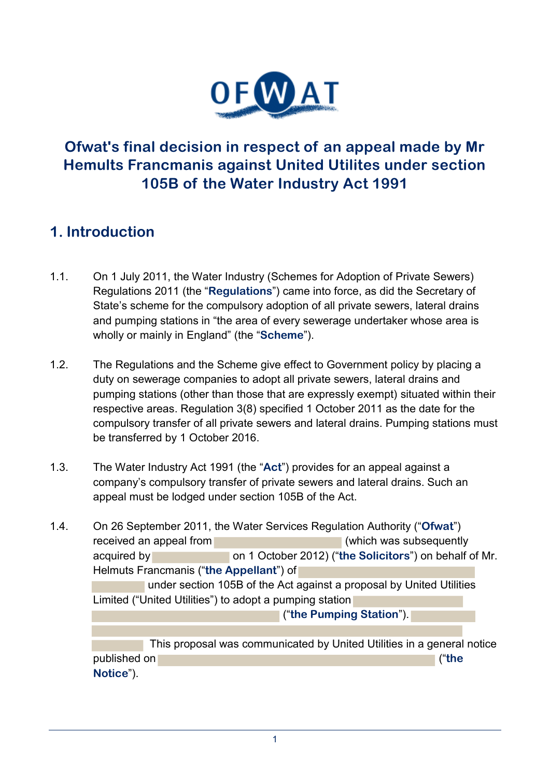

## **Ofwat's final decision in respect of an appeal made by Mr Hemults Francmanis against United Utilites under section 105B of the Water Industry Act 1991**

## **1. Introduction**

- 1.1. On 1 July 2011, the Water Industry (Schemes for Adoption of Private Sewers) Regulations 2011 (the "**Regulations**") came into force, as did the Secretary of State's scheme for the compulsory adoption of all private sewers, lateral drains and pumping stations in "the area of every sewerage undertaker whose area is wholly or mainly in England" (the "**Scheme**").
- 1.2. The Regulations and the Scheme give effect to Government policy by placing a duty on sewerage companies to adopt all private sewers, lateral drains and pumping stations (other than those that are expressly exempt) situated within their respective areas. Regulation 3(8) specified 1 October 2011 as the date for the compulsory transfer of all private sewers and lateral drains. Pumping stations must be transferred by 1 October 2016.
- 1.3. The Water Industry Act 1991 (the "**Act**") provides for an appeal against a company's compulsory transfer of private sewers and lateral drains. Such an appeal must be lodged under section 105B of the Act.
- 1.4. On 26 September 2011, the Water Services Regulation Authority ("**Ofwat**") received an appeal from **Exercise 20** (which was subsequently acquired by on 1 October 2012) ("**the Solicitors**") on behalf of Mr. Helmuts Francmanis ("**the Appellant**") of under section 105B of the Act against a proposal by United Utilities Limited ("United Utilities") to adopt a pumping station ("**the Pumping Station**"). This proposal was communicated by United Utilities in a general notice published on ("**the Notice**").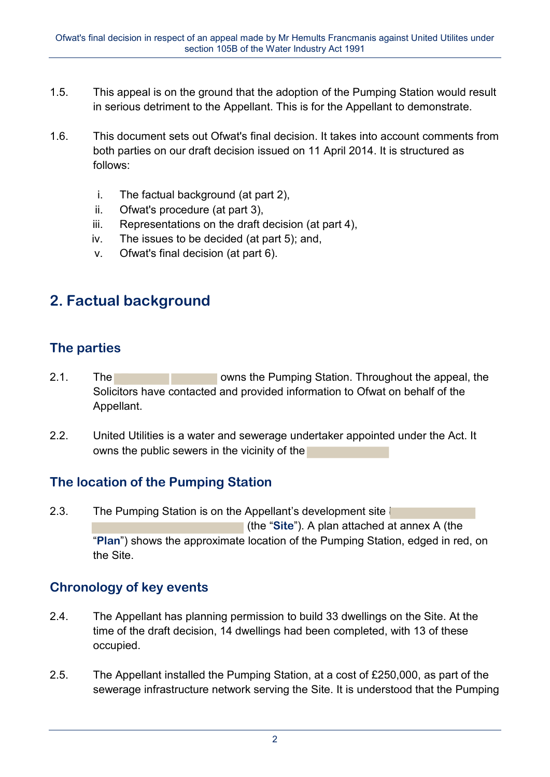- 1.5. This appeal is on the ground that the adoption of the Pumping Station would result in serious detriment to the Appellant. This is for the Appellant to demonstrate.
- 1.6. This document sets out Ofwat's final decision. It takes into account comments from both parties on our draft decision issued on 11 April 2014. It is structured as follows:
	- i. The factual background (at part 2),
	- ii. Ofwat's procedure (at part 3),
	- iii. Representations on the draft decision (at part 4),
	- iv. The issues to be decided (at part 5); and,
	- v. Ofwat's final decision (at part 6).

# **2. Factual background**

## **The parties**

- 2.1. The **Contract Contract Contract Contract Contract Contract Contract Contract Contract Contract Contract Contract Contract Contract Contract Contract Contract Contract Contract Contract Contract Contract Contract Contr** Solicitors have contacted and provided information to Ofwat on behalf of the Appellant.
- 2.2. United Utilities is a water and sewerage undertaker appointed under the Act. It owns the public sewers in the vicinity of the

## **The location of the Pumping Station**

2.3. The Pumping Station is on the Appellant's development site (the "**Site**"). A plan attached at annex A (the "**Plan**") shows the approximate location of the Pumping Station, edged in red, on the Site.

## **Chronology of key events**

- 2.4. The Appellant has planning permission to build 33 dwellings on the Site. At the time of the draft decision, 14 dwellings had been completed, with 13 of these occupied.
- 2.5. The Appellant installed the Pumping Station, at a cost of £250,000, as part of the sewerage infrastructure network serving the Site. It is understood that the Pumping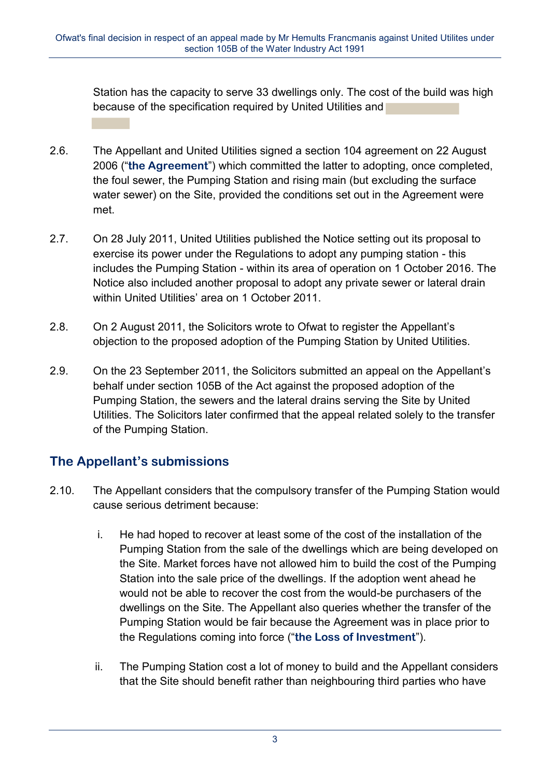Station has the capacity to serve 33 dwellings only. The cost of the build was high because of the specification required by United Utilities and

- 2.6. The Appellant and United Utilities signed a section 104 agreement on 22 August 2006 ("**the Agreement**") which committed the latter to adopting, once completed, the foul sewer, the Pumping Station and rising main (but excluding the surface water sewer) on the Site, provided the conditions set out in the Agreement were met.
- 2.7. On 28 July 2011, United Utilities published the Notice setting out its proposal to exercise its power under the Regulations to adopt any pumping station - this includes the Pumping Station - within its area of operation on 1 October 2016. The Notice also included another proposal to adopt any private sewer or lateral drain within United Utilities' area on 1 October 2011.
- 2.8. On 2 August 2011, the Solicitors wrote to Ofwat to register the Appellant's objection to the proposed adoption of the Pumping Station by United Utilities.
- 2.9. On the 23 September 2011, the Solicitors submitted an appeal on the Appellant's behalf under section 105B of the Act against the proposed adoption of the Pumping Station, the sewers and the lateral drains serving the Site by United Utilities. The Solicitors later confirmed that the appeal related solely to the transfer of the Pumping Station.

## **The Appellant's submissions**

- 2.10. The Appellant considers that the compulsory transfer of the Pumping Station would cause serious detriment because:
	- i. He had hoped to recover at least some of the cost of the installation of the Pumping Station from the sale of the dwellings which are being developed on the Site. Market forces have not allowed him to build the cost of the Pumping Station into the sale price of the dwellings. If the adoption went ahead he would not be able to recover the cost from the would-be purchasers of the dwellings on the Site. The Appellant also queries whether the transfer of the Pumping Station would be fair because the Agreement was in place prior to the Regulations coming into force ("**the Loss of Investment**").
	- ii. The Pumping Station cost a lot of money to build and the Appellant considers that the Site should benefit rather than neighbouring third parties who have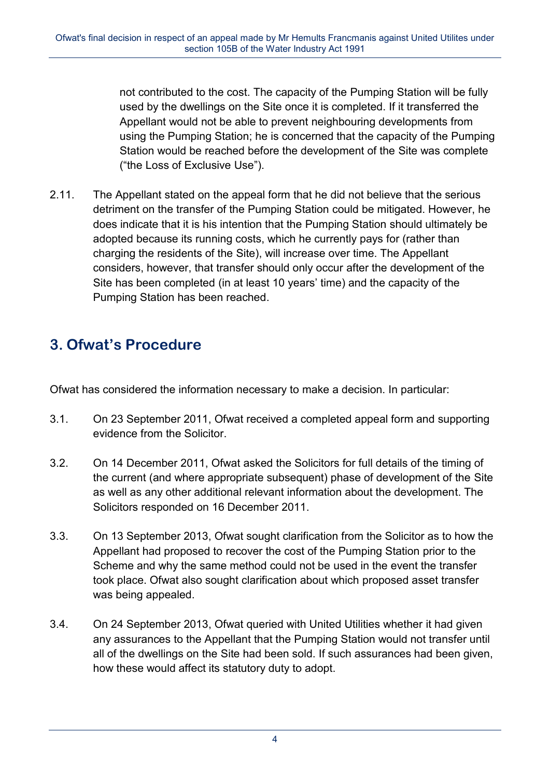not contributed to the cost. The capacity of the Pumping Station will be fully used by the dwellings on the Site once it is completed. If it transferred the Appellant would not be able to prevent neighbouring developments from using the Pumping Station; he is concerned that the capacity of the Pumping Station would be reached before the development of the Site was complete ("the Loss of Exclusive Use").

2.11. The Appellant stated on the appeal form that he did not believe that the serious detriment on the transfer of the Pumping Station could be mitigated. However, he does indicate that it is his intention that the Pumping Station should ultimately be adopted because its running costs, which he currently pays for (rather than charging the residents of the Site), will increase over time. The Appellant considers, however, that transfer should only occur after the development of the Site has been completed (in at least 10 years' time) and the capacity of the Pumping Station has been reached.

# **3. Ofwat's Procedure**

Ofwat has considered the information necessary to make a decision. In particular:

- 3.1. On 23 September 2011, Ofwat received a completed appeal form and supporting evidence from the Solicitor.
- 3.2. On 14 December 2011, Ofwat asked the Solicitors for full details of the timing of the current (and where appropriate subsequent) phase of development of the Site as well as any other additional relevant information about the development. The Solicitors responded on 16 December 2011.
- 3.3. On 13 September 2013, Ofwat sought clarification from the Solicitor as to how the Appellant had proposed to recover the cost of the Pumping Station prior to the Scheme and why the same method could not be used in the event the transfer took place. Ofwat also sought clarification about which proposed asset transfer was being appealed.
- 3.4. On 24 September 2013, Ofwat queried with United Utilities whether it had given any assurances to the Appellant that the Pumping Station would not transfer until all of the dwellings on the Site had been sold. If such assurances had been given, how these would affect its statutory duty to adopt.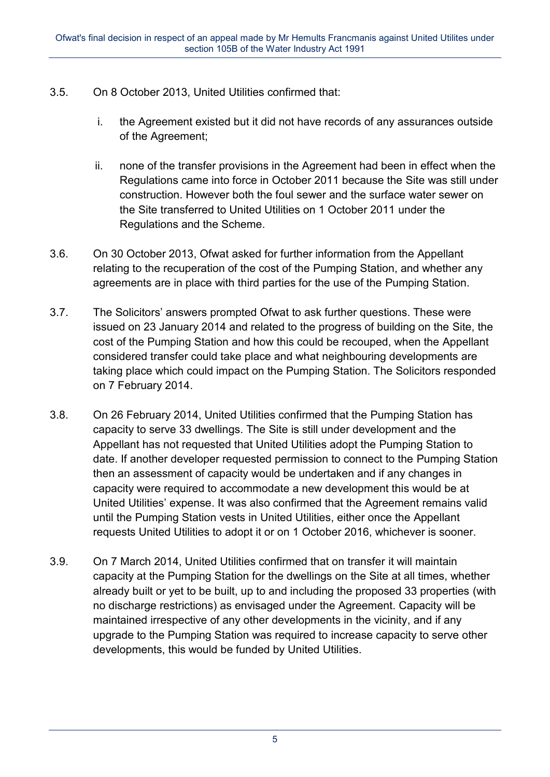- 3.5. On 8 October 2013, United Utilities confirmed that:
	- i. the Agreement existed but it did not have records of any assurances outside of the Agreement;
	- ii. none of the transfer provisions in the Agreement had been in effect when the Regulations came into force in October 2011 because the Site was still under construction. However both the foul sewer and the surface water sewer on the Site transferred to United Utilities on 1 October 2011 under the Regulations and the Scheme.
- 3.6. On 30 October 2013, Ofwat asked for further information from the Appellant relating to the recuperation of the cost of the Pumping Station, and whether any agreements are in place with third parties for the use of the Pumping Station.
- 3.7. The Solicitors' answers prompted Ofwat to ask further questions. These were issued on 23 January 2014 and related to the progress of building on the Site, the cost of the Pumping Station and how this could be recouped, when the Appellant considered transfer could take place and what neighbouring developments are taking place which could impact on the Pumping Station. The Solicitors responded on 7 February 2014.
- 3.8. On 26 February 2014, United Utilities confirmed that the Pumping Station has capacity to serve 33 dwellings. The Site is still under development and the Appellant has not requested that United Utilities adopt the Pumping Station to date. If another developer requested permission to connect to the Pumping Station then an assessment of capacity would be undertaken and if any changes in capacity were required to accommodate a new development this would be at United Utilities' expense. It was also confirmed that the Agreement remains valid until the Pumping Station vests in United Utilities, either once the Appellant requests United Utilities to adopt it or on 1 October 2016, whichever is sooner.
- 3.9. On 7 March 2014, United Utilities confirmed that on transfer it will maintain capacity at the Pumping Station for the dwellings on the Site at all times, whether already built or yet to be built, up to and including the proposed 33 properties (with no discharge restrictions) as envisaged under the Agreement. Capacity will be maintained irrespective of any other developments in the vicinity, and if any upgrade to the Pumping Station was required to increase capacity to serve other developments, this would be funded by United Utilities.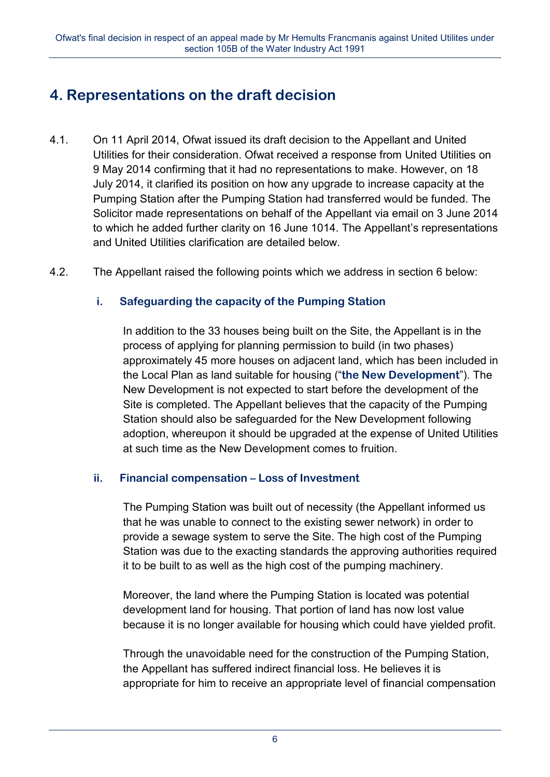# **4. Representations on the draft decision**

- 4.1. On 11 April 2014, Ofwat issued its draft decision to the Appellant and United Utilities for their consideration. Ofwat received a response from United Utilities on 9 May 2014 confirming that it had no representations to make. However, on 18 July 2014, it clarified its position on how any upgrade to increase capacity at the Pumping Station after the Pumping Station had transferred would be funded. The Solicitor made representations on behalf of the Appellant via email on 3 June 2014 to which he added further clarity on 16 June 1014. The Appellant's representations and United Utilities clarification are detailed below.
- 4.2. The Appellant raised the following points which we address in section 6 below:

#### **i. Safeguarding the capacity of the Pumping Station**

In addition to the 33 houses being built on the Site, the Appellant is in the process of applying for planning permission to build (in two phases) approximately 45 more houses on adjacent land, which has been included in the Local Plan as land suitable for housing ("**the New Development**"). The New Development is not expected to start before the development of the Site is completed. The Appellant believes that the capacity of the Pumping Station should also be safeguarded for the New Development following adoption, whereupon it should be upgraded at the expense of United Utilities at such time as the New Development comes to fruition.

#### **ii.** Financial compensation – Loss of Investment

The Pumping Station was built out of necessity (the Appellant informed us that he was unable to connect to the existing sewer network) in order to provide a sewage system to serve the Site. The high cost of the Pumping Station was due to the exacting standards the approving authorities required it to be built to as well as the high cost of the pumping machinery.

Moreover, the land where the Pumping Station is located was potential development land for housing. That portion of land has now lost value because it is no longer available for housing which could have yielded profit.

Through the unavoidable need for the construction of the Pumping Station, the Appellant has suffered indirect financial loss. He believes it is appropriate for him to receive an appropriate level of financial compensation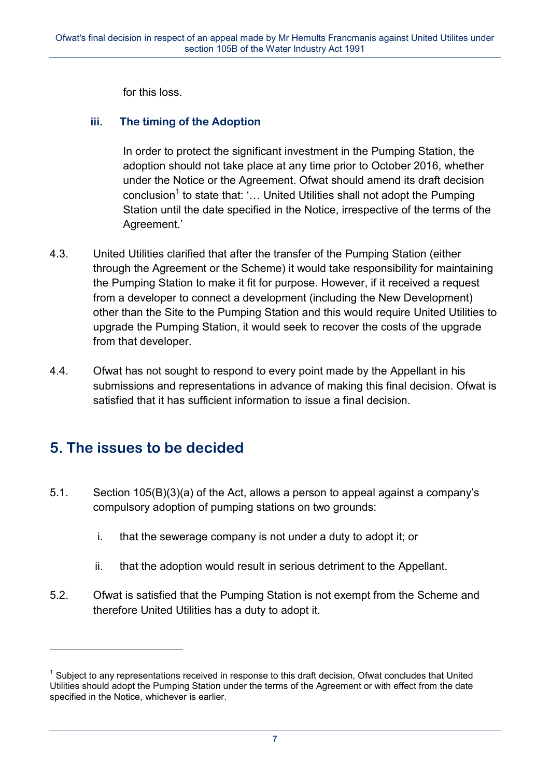for this loss.

#### **iii. The timing of the Adoption**

In order to protect the significant investment in the Pumping Station, the adoption should not take place at any time prior to October 2016, whether under the Notice or the Agreement. Ofwat should amend its draft decision conclusion<sup>1</sup> to state that: '... United Utilities shall not adopt the Pumping Station until the date specified in the Notice, irrespective of the terms of the Agreement.'

- 4.3. United Utilities clarified that after the transfer of the Pumping Station (either through the Agreement or the Scheme) it would take responsibility for maintaining the Pumping Station to make it fit for purpose. However, if it received a request from a developer to connect a development (including the New Development) other than the Site to the Pumping Station and this would require United Utilities to upgrade the Pumping Station, it would seek to recover the costs of the upgrade from that developer.
- 4.4. Ofwat has not sought to respond to every point made by the Appellant in his submissions and representations in advance of making this final decision. Ofwat is satisfied that it has sufficient information to issue a final decision.

## **5. The issues to be decided**

<u>.</u>

- 5.1. Section 105(B)(3)(a) of the Act, allows a person to appeal against a company's compulsory adoption of pumping stations on two grounds:
	- i. that the sewerage company is not under a duty to adopt it; or
	- ii. that the adoption would result in serious detriment to the Appellant.
- 5.2. Ofwat is satisfied that the Pumping Station is not exempt from the Scheme and therefore United Utilities has a duty to adopt it.

<sup>&</sup>lt;sup>1</sup> Subject to any representations received in response to this draft decision, Ofwat concludes that United Utilities should adopt the Pumping Station under the terms of the Agreement or with effect from the date specified in the Notice, whichever is earlier.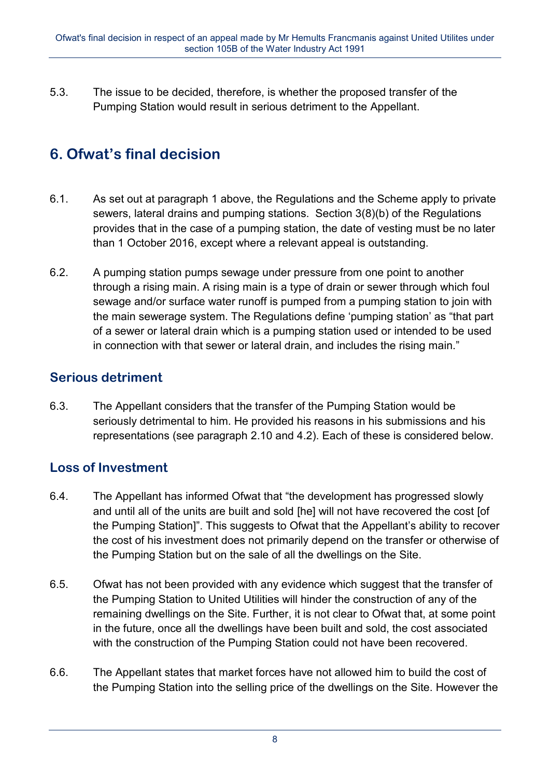5.3. The issue to be decided, therefore, is whether the proposed transfer of the Pumping Station would result in serious detriment to the Appellant.

# **6. Ofwat's final decision**

- 6.1. As set out at paragraph 1 above, the Regulations and the Scheme apply to private sewers, lateral drains and pumping stations. Section 3(8)(b) of the Regulations provides that in the case of a pumping station, the date of vesting must be no later than 1 October 2016, except where a relevant appeal is outstanding.
- 6.2. A pumping station pumps sewage under pressure from one point to another through a rising main. A rising main is a type of drain or sewer through which foul sewage and/or surface water runoff is pumped from a pumping station to join with the main sewerage system. The Regulations define 'pumping station' as "that part of a sewer or lateral drain which is a pumping station used or intended to be used in connection with that sewer or lateral drain, and includes the rising main."

## **Serious detriment**

6.3. The Appellant considers that the transfer of the Pumping Station would be seriously detrimental to him. He provided his reasons in his submissions and his representations (see paragraph 2.10 and 4.2). Each of these is considered below.

## **Loss of Investment**

- 6.4. The Appellant has informed Ofwat that "the development has progressed slowly and until all of the units are built and sold [he] will not have recovered the cost [of the Pumping Station]". This suggests to Ofwat that the Appellant's ability to recover the cost of his investment does not primarily depend on the transfer or otherwise of the Pumping Station but on the sale of all the dwellings on the Site.
- 6.5. Ofwat has not been provided with any evidence which suggest that the transfer of the Pumping Station to United Utilities will hinder the construction of any of the remaining dwellings on the Site. Further, it is not clear to Ofwat that, at some point in the future, once all the dwellings have been built and sold, the cost associated with the construction of the Pumping Station could not have been recovered.
- 6.6. The Appellant states that market forces have not allowed him to build the cost of the Pumping Station into the selling price of the dwellings on the Site. However the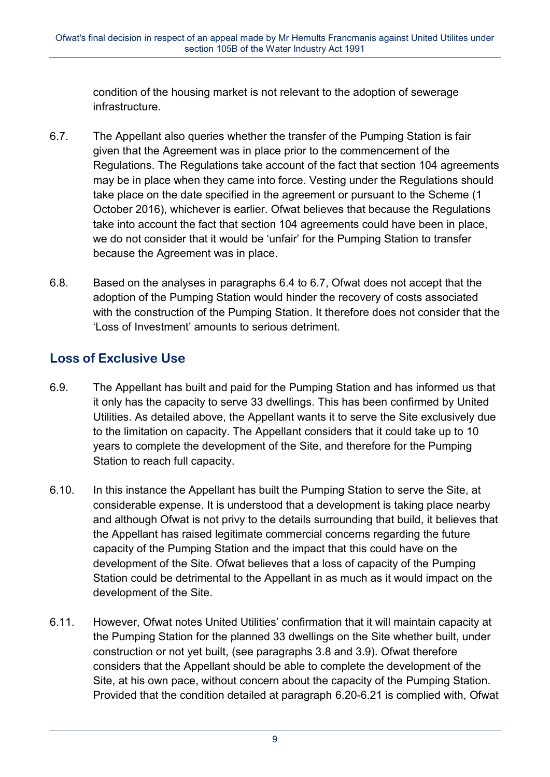condition of the housing market is not relevant to the adoption of sewerage infrastructure.

- 6.7. The Appellant also queries whether the transfer of the Pumping Station is fair given that the Agreement was in place prior to the commencement of the Regulations. The Regulations take account of the fact that section 104 agreements may be in place when they came into force. Vesting under the Regulations should take place on the date specified in the agreement or pursuant to the Scheme (1 October 2016), whichever is earlier. Ofwat believes that because the Regulations take into account the fact that section 104 agreements could have been in place, we do not consider that it would be 'unfair' for the Pumping Station to transfer because the Agreement was in place.
- 6.8. Based on the analyses in paragraphs 6.4 to 6.7, Ofwat does not accept that the adoption of the Pumping Station would hinder the recovery of costs associated with the construction of the Pumping Station. It therefore does not consider that the 'Loss of Investment' amounts to serious detriment.

## **Loss of Exclusive Use**

- 6.9. The Appellant has built and paid for the Pumping Station and has informed us that it only has the capacity to serve 33 dwellings. This has been confirmed by United Utilities. As detailed above, the Appellant wants it to serve the Site exclusively due to the limitation on capacity. The Appellant considers that it could take up to 10 years to complete the development of the Site, and therefore for the Pumping Station to reach full capacity.
- 6.10. In this instance the Appellant has built the Pumping Station to serve the Site, at considerable expense. It is understood that a development is taking place nearby and although Ofwat is not privy to the details surrounding that build, it believes that the Appellant has raised legitimate commercial concerns regarding the future capacity of the Pumping Station and the impact that this could have on the development of the Site. Ofwat believes that a loss of capacity of the Pumping Station could be detrimental to the Appellant in as much as it would impact on the development of the Site.
- 6.11. However, Ofwat notes United Utilities' confirmation that it will maintain capacity at the Pumping Station for the planned 33 dwellings on the Site whether built, under construction or not yet built, (see paragraphs 3.8 and 3.9). Ofwat therefore considers that the Appellant should be able to complete the development of the Site, at his own pace, without concern about the capacity of the Pumping Station. Provided that the condition detailed at paragraph 6.20-6.21 is complied with, Ofwat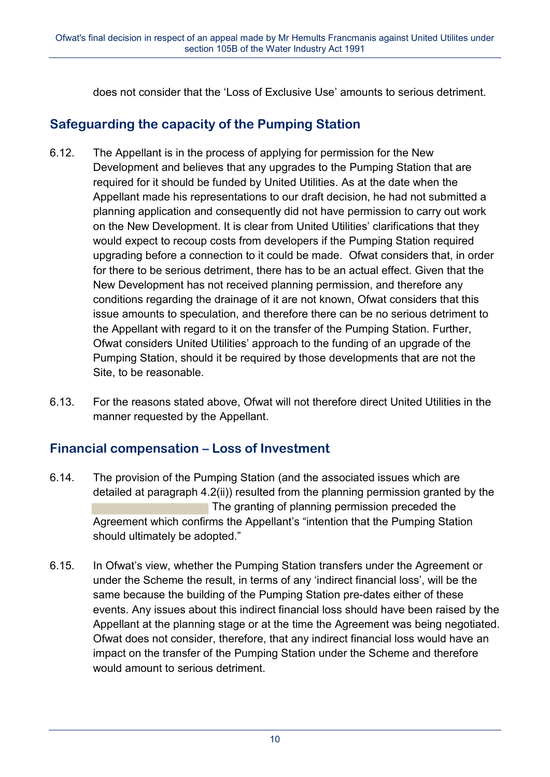does not consider that the 'Loss of Exclusive Use' amounts to serious detriment.

## **Safeguarding the capacity of the Pumping Station**

- 6.12. The Appellant is in the process of applying for permission for the New Development and believes that any upgrades to the Pumping Station that are required for it should be funded by United Utilities. As at the date when the Appellant made his representations to our draft decision, he had not submitted a planning application and consequently did not have permission to carry out work on the New Development. It is clear from United Utilities' clarifications that they would expect to recoup costs from developers if the Pumping Station required upgrading before a connection to it could be made. Ofwat considers that, in order for there to be serious detriment, there has to be an actual effect. Given that the New Development has not received planning permission, and therefore any conditions regarding the drainage of it are not known, Ofwat considers that this issue amounts to speculation, and therefore there can be no serious detriment to the Appellant with regard to it on the transfer of the Pumping Station. Further, Ofwat considers United Utilities' approach to the funding of an upgrade of the Pumping Station, should it be required by those developments that are not the Site, to be reasonable.
- 6.13. For the reasons stated above, Ofwat will not therefore direct United Utilities in the manner requested by the Appellant.

## **Financial compensation – Loss of Investment**

- 6.14. The provision of the Pumping Station (and the associated issues which are detailed at paragraph 4.2(ii)) resulted from the planning permission granted by the The granting of planning permission preceded the Agreement which confirms the Appellant's "intention that the Pumping Station should ultimately be adopted."
- 6.15. In Ofwat's view, whether the Pumping Station transfers under the Agreement or under the Scheme the result, in terms of any 'indirect financial loss', will be the same because the building of the Pumping Station pre-dates either of these events. Any issues about this indirect financial loss should have been raised by the Appellant at the planning stage or at the time the Agreement was being negotiated. Ofwat does not consider, therefore, that any indirect financial loss would have an impact on the transfer of the Pumping Station under the Scheme and therefore would amount to serious detriment.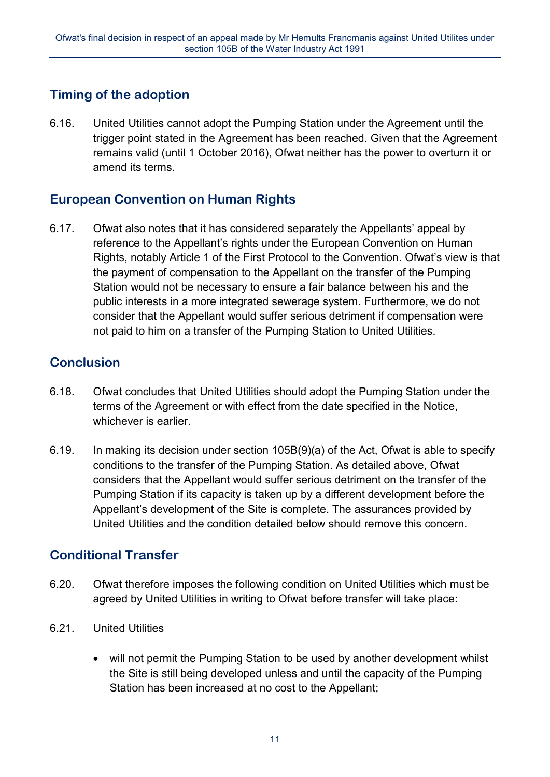## **Timing of the adoption**

6.16. United Utilities cannot adopt the Pumping Station under the Agreement until the trigger point stated in the Agreement has been reached. Given that the Agreement remains valid (until 1 October 2016), Ofwat neither has the power to overturn it or amend its terms.

## **European Convention on Human Rights**

6.17. Ofwat also notes that it has considered separately the Appellants' appeal by reference to the Appellant's rights under the European Convention on Human Rights, notably Article 1 of the First Protocol to the Convention. Ofwat's view is that the payment of compensation to the Appellant on the transfer of the Pumping Station would not be necessary to ensure a fair balance between his and the public interests in a more integrated sewerage system*.* Furthermore, we do not consider that the Appellant would suffer serious detriment if compensation were not paid to him on a transfer of the Pumping Station to United Utilities.

## **Conclusion**

- 6.18. Ofwat concludes that United Utilities should adopt the Pumping Station under the terms of the Agreement or with effect from the date specified in the Notice, whichever is earlier.
- 6.19. In making its decision under section 105B(9)(a) of the Act, Ofwat is able to specify conditions to the transfer of the Pumping Station. As detailed above, Ofwat considers that the Appellant would suffer serious detriment on the transfer of the Pumping Station if its capacity is taken up by a different development before the Appellant's development of the Site is complete. The assurances provided by United Utilities and the condition detailed below should remove this concern.

## **Conditional Transfer**

- 6.20. Ofwat therefore imposes the following condition on United Utilities which must be agreed by United Utilities in writing to Ofwat before transfer will take place:
- 6.21. United Utilities
	- will not permit the Pumping Station to be used by another development whilst the Site is still being developed unless and until the capacity of the Pumping Station has been increased at no cost to the Appellant;